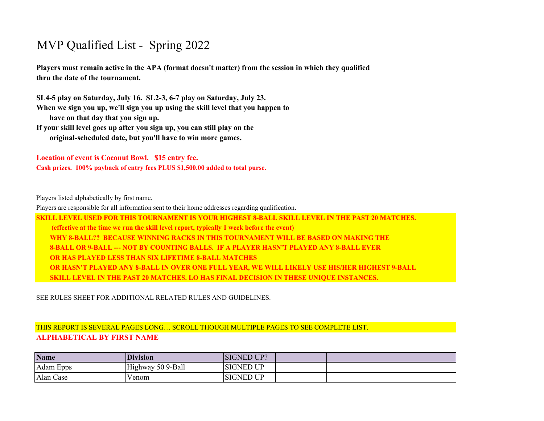## MVP Qualified List - Spring 2022

**Players must remain active in the APA (format doesn't matter) from the session in which they qualified thru the date of the tournament.** 

**SL4-5 play on Saturday, July 16. SL2-3, 6-7 play on Saturday, July 23. When we sign you up, we'll sign you up using the skill level that you happen to have on that day that you sign up.** 

**If your skill level goes up after you sign up, you can still play on the original-scheduled date, but you'll have to win more games.**

**Location of event is Coconut Bowl. \$15 entry fee. Cash prizes. 100% payback of entry fees PLUS \$1,500.00 added to total purse.**

Players listed alphabetically by first name.

Players are responsible for all information sent to their home addresses regarding qualification.

**SKILL LEVEL USED FOR THIS TOURNAMENT IS YOUR HIGHEST 8-BALL SKILL LEVEL IN THE PAST 20 MATCHES. (effective at the time we run the skill level report, typically 1 week before the event) WHY 8-BALL?? BECAUSE WINNING RACKS IN THIS TOURNAMENT WILL BE BASED ON MAKING THE 8-BALL OR 9-BALL --- NOT BY COUNTING BALLS. IF A PLAYER HASN'T PLAYED ANY 8-BALL EVER OR HAS PLAYED LESS THAN SIX LIFETIME 8-BALL MATCHES OR HASN'T PLAYED ANY 8-BALL IN OVER ONE FULL YEAR, WE WILL LIKELY USE HIS/HER HIGHEST 9-BALL SKILL LEVEL IN THE PAST 20 MATCHES. LO HAS FINAL DECISION IN THESE UNIQUE INSTANCES.** 

SEE RULES SHEET FOR ADDITIONAL RELATED RULES AND GUIDELINES.

## THIS REPORT IS SEVERAL PAGES LONG… SCROLL THOUGH MULTIPLE PAGES TO SEE COMPLETE LIST. **ALPHABETICAL BY FIRST NAME**

| <b>Name</b> | <b>Division</b>   | <b>SIGNED UP?</b> |  |
|-------------|-------------------|-------------------|--|
| Adam Epps   | Highway 50 9-Ball | <b>SIGNED UP</b>  |  |
| Alan Case   | Venom             | <b>SIGNED UP</b>  |  |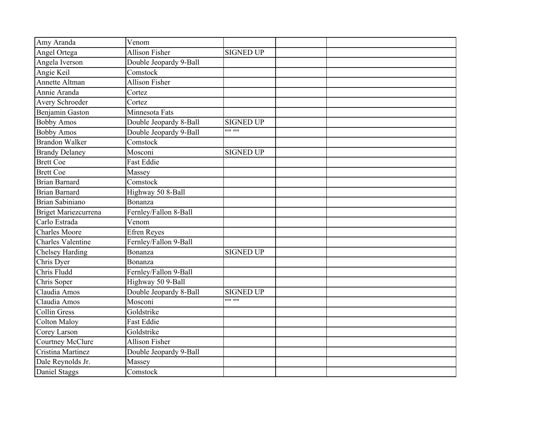| Amy Aranda               | Venom                  |                  |  |  |
|--------------------------|------------------------|------------------|--|--|
| Angel Ortega             | <b>Allison Fisher</b>  | <b>SIGNED UP</b> |  |  |
| Angela Iverson           | Double Jeopardy 9-Ball |                  |  |  |
| Angie Keil               | Comstock               |                  |  |  |
| Annette Altman           | <b>Allison Fisher</b>  |                  |  |  |
| Annie Aranda             | Cortez                 |                  |  |  |
| Avery Schroeder          | Cortez                 |                  |  |  |
| Benjamin Gaston          | Minnesota Fats         |                  |  |  |
| <b>Bobby Amos</b>        | Double Jeopardy 8-Ball | <b>SIGNED UP</b> |  |  |
| <b>Bobby Amos</b>        | Double Jeopardy 9-Ball | $\cdots$         |  |  |
| <b>Brandon Walker</b>    | Comstock               |                  |  |  |
| <b>Brandy Delaney</b>    | Mosconi                | <b>SIGNED UP</b> |  |  |
| <b>Brett Coe</b>         | <b>Fast Eddie</b>      |                  |  |  |
| <b>Brett Coe</b>         | Massey                 |                  |  |  |
| <b>Brian Barnard</b>     | Comstock               |                  |  |  |
| <b>Brian Barnard</b>     | Highway 50 8-Ball      |                  |  |  |
| Brian Sabiniano          | Bonanza                |                  |  |  |
| Briget Mariezcurrena     | Fernley/Fallon 8-Ball  |                  |  |  |
| Carlo Estrada            | Venom                  |                  |  |  |
| <b>Charles Moore</b>     | <b>Efren Reyes</b>     |                  |  |  |
| <b>Charles Valentine</b> | Fernley/Fallon 9-Ball  |                  |  |  |
| <b>Chelsey Harding</b>   | Bonanza                | <b>SIGNED UP</b> |  |  |
| Chris Dyer               | Bonanza                |                  |  |  |
| Chris Fludd              | Fernley/Fallon 9-Ball  |                  |  |  |
| Chris Soper              | Highway 50 9-Ball      |                  |  |  |
| Claudia Amos             | Double Jeopardy 8-Ball | <b>SIGNED UP</b> |  |  |
| Claudia Amos             | Mosconi                | $1111 - 1111$    |  |  |
| <b>Collin Gress</b>      | Goldstrike             |                  |  |  |
| <b>Colton Maloy</b>      | <b>Fast Eddie</b>      |                  |  |  |
| Corey Larson             | Goldstrike             |                  |  |  |
| <b>Courtney McClure</b>  | <b>Allison Fisher</b>  |                  |  |  |
| Cristina Martinez        | Double Jeopardy 9-Ball |                  |  |  |
| Dale Reynolds Jr.        | Massey                 |                  |  |  |
| Daniel Staggs            | Comstock               |                  |  |  |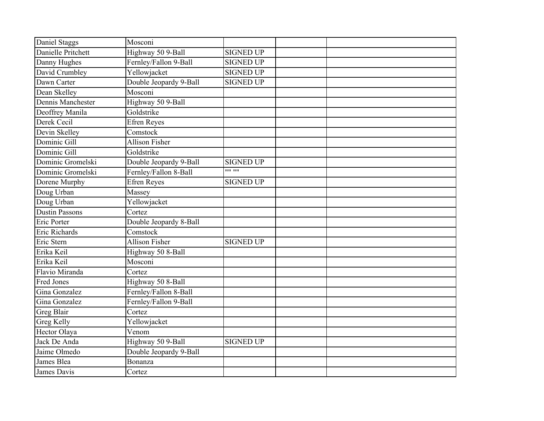| Daniel Staggs         | Mosconi                |                  |  |
|-----------------------|------------------------|------------------|--|
| Danielle Pritchett    | Highway 50 9-Ball      | <b>SIGNED UP</b> |  |
| Danny Hughes          | Fernley/Fallon 9-Ball  | <b>SIGNED UP</b> |  |
| David Crumbley        | Yellowjacket           | <b>SIGNED UP</b> |  |
| Dawn Carter           | Double Jeopardy 9-Ball | <b>SIGNED UP</b> |  |
| Dean Skelley          | Mosconi                |                  |  |
| Dennis Manchester     | Highway 50 9-Ball      |                  |  |
| Deoffrey Manila       | Goldstrike             |                  |  |
| Derek Cecil           | <b>Efren Reyes</b>     |                  |  |
| Devin Skelley         | Comstock               |                  |  |
| Dominic Gill          | Allison Fisher         |                  |  |
| Dominic Gill          | Goldstrike             |                  |  |
| Dominic Gromelski     | Double Jeopardy 9-Ball | <b>SIGNED UP</b> |  |
| Dominic Gromelski     | Fernley/Fallon 8-Ball  | 1111 1111        |  |
| Dorene Murphy         | <b>Efren Reyes</b>     | <b>SIGNED UP</b> |  |
| Doug Urban            | Massey                 |                  |  |
| Doug Urban            | Yellowjacket           |                  |  |
| <b>Dustin Passons</b> | Cortez                 |                  |  |
| Eric Porter           | Double Jeopardy 8-Ball |                  |  |
| Eric Richards         | Comstock               |                  |  |
| Eric Stern            | <b>Allison Fisher</b>  | <b>SIGNED UP</b> |  |
| Erika Keil            | Highway 50 8-Ball      |                  |  |
| Erika Keil            | Mosconi                |                  |  |
| Flavio Miranda        | Cortez                 |                  |  |
| <b>Fred Jones</b>     | Highway 50 8-Ball      |                  |  |
| Gina Gonzalez         | Fernley/Fallon 8-Ball  |                  |  |
| Gina Gonzalez         | Fernley/Fallon 9-Ball  |                  |  |
| Greg Blair            | Cortez                 |                  |  |
| <b>Greg Kelly</b>     | Yellowjacket           |                  |  |
| Hector Olaya          | Venom                  |                  |  |
| Jack De Anda          | Highway 50 9-Ball      | <b>SIGNED UP</b> |  |
| Jaime Olmedo          | Double Jeopardy 9-Ball |                  |  |
| James Blea            | Bonanza                |                  |  |
| James Davis           | Cortez                 |                  |  |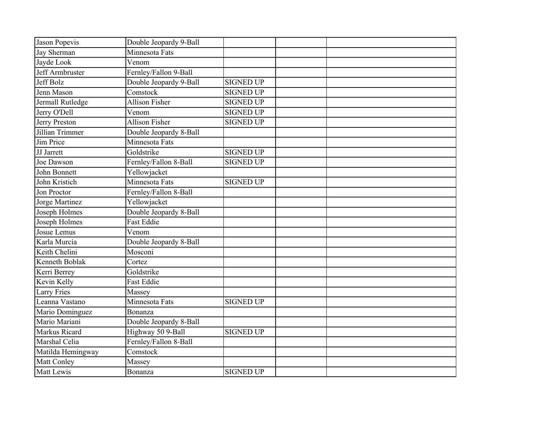| Jason Popevis     | Double Jeopardy 9-Ball |                  |  |  |
|-------------------|------------------------|------------------|--|--|
| Jay Sherman       | Minnesota Fats         |                  |  |  |
| Jayde Look        | Venom                  |                  |  |  |
| Jeff Armbruster   | Fernley/Fallon 9-Ball  |                  |  |  |
| Jeff Bolz         | Double Jeopardy 9-Ball | <b>SIGNED UP</b> |  |  |
| Jenn Mason        | Comstock               | <b>SIGNED UP</b> |  |  |
| Jermall Rutledge  | <b>Allison Fisher</b>  | <b>SIGNED UP</b> |  |  |
| Jerry O'Dell      | Venom                  | <b>SIGNED UP</b> |  |  |
| Jerry Preston     | <b>Allison Fisher</b>  | <b>SIGNED UP</b> |  |  |
| Jillian Trimmer   | Double Jeopardy 8-Ball |                  |  |  |
| Jim Price         | Minnesota Fats         |                  |  |  |
| JJ Jarrett        | Goldstrike             | <b>SIGNED UP</b> |  |  |
| Joe Dawson        | Fernley/Fallon 8-Ball  | <b>SIGNED UP</b> |  |  |
| John Bonnett      | Yellowjacket           |                  |  |  |
| John Kristich     | Minnesota Fats         | <b>SIGNED UP</b> |  |  |
| Jon Proctor       | Fernley/Fallon 8-Ball  |                  |  |  |
| Jorge Martinez    | Yellowjacket           |                  |  |  |
| Joseph Holmes     | Double Jeopardy 8-Ball |                  |  |  |
| Joseph Holmes     | <b>Fast Eddie</b>      |                  |  |  |
| Josue Lemus       | Venom                  |                  |  |  |
| Karla Murcia      | Double Jeopardy 8-Ball |                  |  |  |
| Keith Chelini     | Mosconi                |                  |  |  |
| Kenneth Boblak    | Cortez                 |                  |  |  |
| Kerri Berrey      | Goldstrike             |                  |  |  |
| Kevin Kelly       | <b>Fast Eddie</b>      |                  |  |  |
| Larry Fries       | Massey                 |                  |  |  |
| Leanna Vastano    | Minnesota Fats         | <b>SIGNED UP</b> |  |  |
| Mario Dominguez   | Bonanza                |                  |  |  |
| Mario Mariani     | Double Jeopardy 8-Ball |                  |  |  |
| Markus Ricard     | Highway 50 9-Ball      | <b>SIGNED UP</b> |  |  |
| Marshal Celia     | Fernley/Fallon 8-Ball  |                  |  |  |
| Matilda Hemingway | Comstock               |                  |  |  |
| Matt Conley       | Massey                 |                  |  |  |
| <b>Matt Lewis</b> | Bonanza                | <b>SIGNED UP</b> |  |  |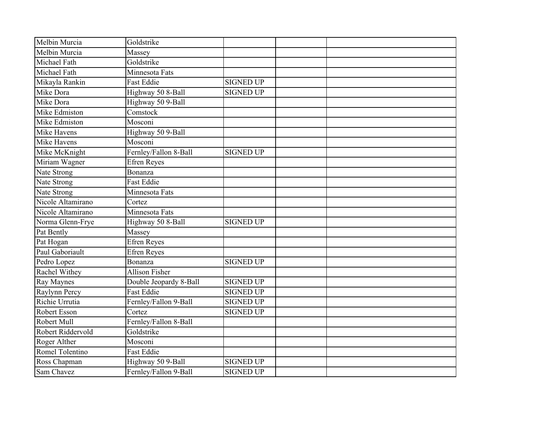| Melbin Murcia     | Goldstrike             |                  |  |
|-------------------|------------------------|------------------|--|
| Melbin Murcia     | Massey                 |                  |  |
| Michael Fath      | Goldstrike             |                  |  |
| Michael Fath      | Minnesota Fats         |                  |  |
| Mikayla Rankin    | <b>Fast Eddie</b>      | <b>SIGNED UP</b> |  |
| Mike Dora         | Highway 50 8-Ball      | <b>SIGNED UP</b> |  |
| Mike Dora         | Highway 50 9-Ball      |                  |  |
| Mike Edmiston     | Comstock               |                  |  |
| Mike Edmiston     | Mosconi                |                  |  |
| Mike Havens       | Highway 50 9-Ball      |                  |  |
| Mike Havens       | Mosconi                |                  |  |
| Mike McKnight     | Fernley/Fallon 8-Ball  | <b>SIGNED UP</b> |  |
| Miriam Wagner     | <b>Efren Reyes</b>     |                  |  |
| Nate Strong       | <b>Bonanza</b>         |                  |  |
| Nate Strong       | <b>Fast Eddie</b>      |                  |  |
| Nate Strong       | Minnesota Fats         |                  |  |
| Nicole Altamirano | Cortez                 |                  |  |
| Nicole Altamirano | Minnesota Fats         |                  |  |
| Norma Glenn-Frye  | Highway 50 8-Ball      | <b>SIGNED UP</b> |  |
| Pat Bently        | Massey                 |                  |  |
| Pat Hogan         | <b>Efren Reyes</b>     |                  |  |
| Paul Gaboriault   | <b>Efren Reyes</b>     |                  |  |
| Pedro Lopez       | Bonanza                | <b>SIGNED UP</b> |  |
| Rachel Withey     | <b>Allison Fisher</b>  |                  |  |
| Ray Maynes        | Double Jeopardy 8-Ball | <b>SIGNED UP</b> |  |
| Raylynn Percy     | <b>Fast Eddie</b>      | <b>SIGNED UP</b> |  |
| Richie Urrutia    | Fernley/Fallon 9-Ball  | <b>SIGNED UP</b> |  |
| Robert Esson      | Cortez                 | <b>SIGNED UP</b> |  |
| Robert Mull       | Fernley/Fallon 8-Ball  |                  |  |
| Robert Riddervold | Goldstrike             |                  |  |
| Roger Alther      | Mosconi                |                  |  |
| Romel Tolentino   | <b>Fast Eddie</b>      |                  |  |
| Ross Chapman      | Highway 50 9-Ball      | <b>SIGNED UP</b> |  |
| Sam Chavez        | Fernley/Fallon 9-Ball  | <b>SIGNED UP</b> |  |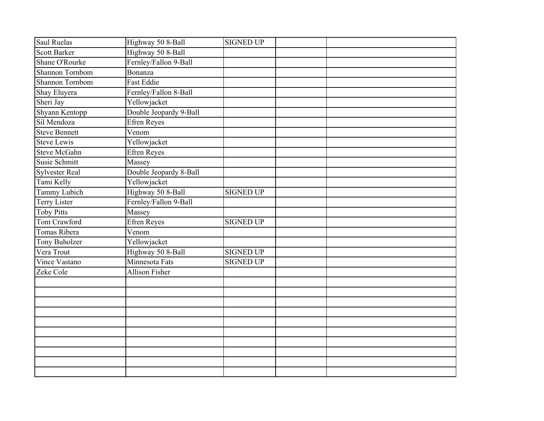| <b>Saul Ruelas</b>    | Highway 50 8-Ball      | <b>SIGNED UP</b> |  |
|-----------------------|------------------------|------------------|--|
| <b>Scott Barker</b>   | Highway 50 8-Ball      |                  |  |
| Shane O'Rourke        | Fernley/Fallon 9-Ball  |                  |  |
| Shannon Tornbom       | Bonanza                |                  |  |
| Shannon Tornbom       | <b>Fast Eddie</b>      |                  |  |
| Shay Eluyera          | Fernley/Fallon 8-Ball  |                  |  |
| Sheri Jay             | Yellowjacket           |                  |  |
| Shyann Kentopp        | Double Jeopardy 9-Ball |                  |  |
| Sil Mendoza           | Efren Reyes            |                  |  |
| <b>Steve Bennett</b>  | Venom                  |                  |  |
| <b>Steve Lewis</b>    | Yellowjacket           |                  |  |
| <b>Steve McGahn</b>   | <b>Efren Reyes</b>     |                  |  |
| <b>Susie Schmitt</b>  | Massey                 |                  |  |
| <b>Sylvester Real</b> | Double Jeopardy 8-Ball |                  |  |
| Tami Kelly            | Yellowjacket           |                  |  |
| <b>Tammy Lubich</b>   | Highway 50 8-Ball      | <b>SIGNED UP</b> |  |
| Terry Lister          | Fernley/Fallon 9-Ball  |                  |  |
| <b>Toby Pitts</b>     | Massey                 |                  |  |
| Tom Crawford          | <b>Efren Reyes</b>     | <b>SIGNED UP</b> |  |
| Tomas Ribera          | Venom                  |                  |  |
| Tony Buholzer         | Yellowjacket           |                  |  |
| Vera Trout            | Highway 50 8-Ball      | <b>SIGNED UP</b> |  |
| Vince Vastano         | Minnesota Fats         | <b>SIGNED UP</b> |  |
| Zeke Cole             | <b>Allison Fisher</b>  |                  |  |
|                       |                        |                  |  |
|                       |                        |                  |  |
|                       |                        |                  |  |
|                       |                        |                  |  |
|                       |                        |                  |  |
|                       |                        |                  |  |
|                       |                        |                  |  |
|                       |                        |                  |  |
|                       |                        |                  |  |
|                       |                        |                  |  |